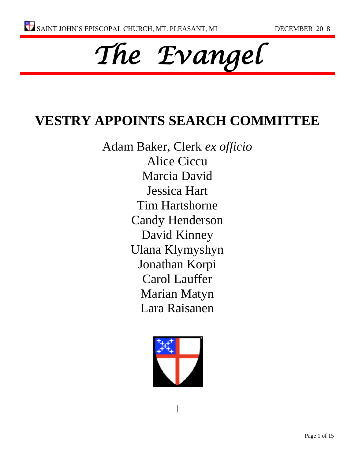

# **VESTRY APPOINTS SEARCH COMMITTEE**

Adam Baker, Clerk *ex officio* Alice Ciccu Marcia David Jessica Hart Tim Hartshorne Candy Henderson David Kinney Ulana Klymyshyn Jonathan Korpi Carol Lauffer Marian Matyn Lara Raisanen

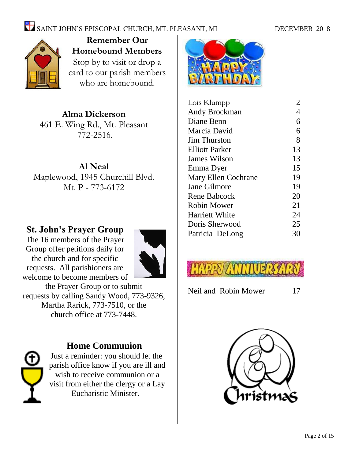# $\sum_{n=1}^{\infty}$  SAINT JOHN'S EPISCOPAL CHURCH, MT. PLEASANT, MI DECEMBER 2018



**Remember Our Homebound Members** Stop by to visit or drop a card to our parish members who are homebound.

**Alma Dickerson** 461 E. Wing Rd., Mt. Pleasant 772-2516.

**Al Neal** Maplewood, 1945 Churchill Blvd. Mt. P - 773-6172

#### **St. John's Prayer Group**

The 16 members of the Prayer Group offer petitions daily for the church and for specific requests. All parishioners are welcome to become members of



the Prayer Group or to submit requests by calling Sandy Wood, 773-9326, Martha Rarick, 773-7510, or the church office at 773-7448.



#### **Home Communion**

Just a reminder: you should let the parish office know if you are ill and wish to receive communion or a visit from either the clergy or a Lay Eucharistic Minister.



| Lois Klumpp           | $\overline{2}$ |
|-----------------------|----------------|
| Andy Brockman         | 4              |
| Diane Benn            | 6              |
| Marcia David          | 6              |
| <b>Jim Thurston</b>   | 8              |
| <b>Elliott Parker</b> | 13             |
| James Wilson          | 13             |
| Emma Dyer             | 15             |
| Mary Ellen Cochrane   | 19             |
| Jane Gilmore          | 19             |
| Rene Babcock          | 20             |
| <b>Robin Mower</b>    | 21             |
| <b>Harriett White</b> | 24             |
| Doris Sherwood        | 25             |
| Patricia DeLong       | 30             |
|                       |                |



Neil and Robin Mower 17

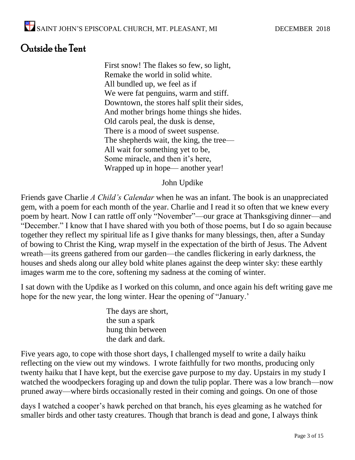# Outside the Tent

First snow! The flakes so few, so light, Remake the world in solid white. All bundled up, we feel as if We were fat penguins, warm and stiff. Downtown, the stores half split their sides, And mother brings home things she hides. Old carols peal, the dusk is dense, There is a mood of sweet suspense. The shepherds wait, the king, the tree— All wait for something yet to be, Some miracle, and then it's here, Wrapped up in hope— another year!

#### John Updike

Friends gave Charlie *A Child's Calendar* when he was an infant. The book is an unappreciated gem, with a poem for each month of the year. Charlie and I read it so often that we knew every poem by heart. Now I can rattle off only "November"—our grace at Thanksgiving dinner—and "December." I know that I have shared with you both of those poems, but I do so again because together they reflect my spiritual life as I give thanks for many blessings, then, after a Sunday of bowing to Christ the King, wrap myself in the expectation of the birth of Jesus. The Advent wreath—its greens gathered from our garden—the candles flickering in early darkness, the houses and sheds along our alley bold white planes against the deep winter sky: these earthly images warm me to the core, softening my sadness at the coming of winter.

I sat down with the Updike as I worked on this column, and once again his deft writing gave me hope for the new year, the long winter. Hear the opening of "January.'

> The days are short, the sun a spark hung thin between the dark and dark.

Five years ago, to cope with those short days, I challenged myself to write a daily haiku reflecting on the view out my windows. I wrote faithfully for two months, producing only twenty haiku that I have kept, but the exercise gave purpose to my day. Upstairs in my study I watched the woodpeckers foraging up and down the tulip poplar. There was a low branch—now pruned away—where birds occasionally rested in their coming and goings. On one of those

days I watched a cooper's hawk perched on that branch, his eyes gleaming as he watched for smaller birds and other tasty creatures. Though that branch is dead and gone, I always think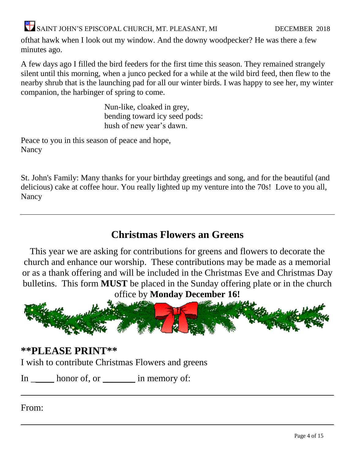ofthat hawk when I look out my window. And the downy woodpecker? He was there a few minutes ago.

A few days ago I filled the bird feeders for the first time this season. They remained strangely silent until this morning, when a junco pecked for a while at the wild bird feed, then flew to the nearby shrub that is the launching pad for all our winter birds. I was happy to see her, my winter companion, the harbinger of spring to come.

> Nun-like, cloaked in grey, bending toward icy seed pods: hush of new year's dawn.

Peace to you in this season of peace and hope, Nancy

St. John's Family: Many thanks for your birthday greetings and song, and for the beautiful (and delicious) cake at coffee hour. You really lighted up my venture into the 70s! Love to you all, Nancy

# **Christmas Flowers an Greens**

This year we are asking for contributions for greens and flowers to decorate the church and enhance our worship. These contributions may be made as a memorial or as a thank offering and will be included in the Christmas Eve and Christmas Day bulletins. This form **MUST** be placed in the Sunday offering plate or in the church office by **Monday December 16!**



 $\overline{\phantom{a}}$  , and the contract of the contract of the contract of the contract of the contract of the contract of the contract of the contract of the contract of the contract of the contract of the contract of the contrac

 $\overline{\phantom{a}}$  , and the contract of the contract of the contract of the contract of the contract of the contract of the contract of the contract of the contract of the contract of the contract of the contract of the contrac

### **\*\*PLEASE PRINT\*\***

I wish to contribute Christmas Flowers and greens

In \_\_\_\_\_\_\_ honor of, or \_\_\_\_\_\_\_\_\_\_ in memory of:

From: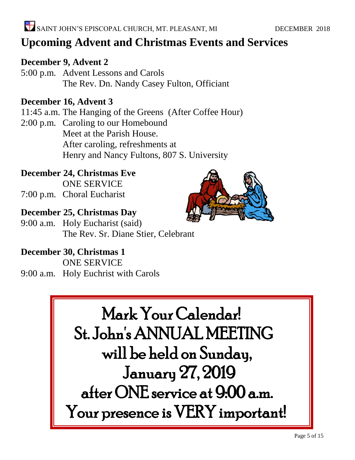# **Upcoming Advent and Christmas Events and Services**

#### **December 9, Advent 2**

5:00 p.m. Advent Lessons and Carols The Rev. Dn. Nandy Casey Fulton, Officiant

#### **December 16, Advent 3**

- 11:45 a.m. The Hanging of the Greens (After Coffee Hour)
- 2:00 p.m. Caroling to our Homebound Meet at the Parish House. After caroling, refreshments at Henry and Nancy Fultons, 807 S. University

# **December 24, Christmas Eve**

ONE SERVICE

7:00 p.m. Choral Eucharist

### **December 25, Christmas Day**

9:00 a.m. Holy Eucharist (said) The Rev. Sr. Diane Stier, Celebrant

### **December 30, Christmas 1**

ONE SERVICE 9:00 a.m. Holy Euchrist with Carols



 Mark Your Calendar! St. John's ANNUAL MEETING will be held on Sunday, January 27, 2019 after ONE service at 9:00 a.m. Your presence is VERY important!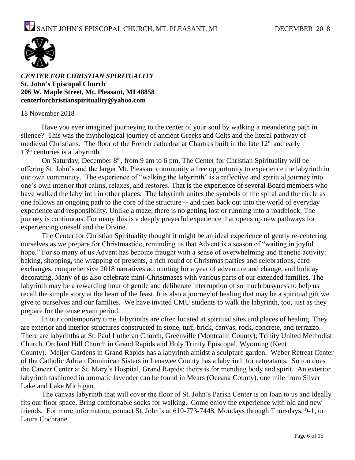

*CENTER FOR CHRISTIAN SPIRITUALITY* **St. John's Episcopal Church 206 W. Maple Street, Mt. Pleasant, MI 48858 [centerforchristianspirituality@yahoo.com](mailto:centerforchristianspirituality@yahoo.com)**

#### 18 November 2018

Have you ever imagined journeying to the center of your soul by walking a meandering path in silence? This was the mythological journey of ancient Greeks and Celts and the literal pathway of medieval Christians. The floor of the French cathedral at Chartres built in the late 12<sup>th</sup> and early 13<sup>th</sup> centuries is a labyrinth.

On Saturday, December  $8<sup>th</sup>$ , from 9 am to 6 pm, The Center for Christian Spirituality will be offering St. John's and the larger Mt. Pleasant community a free opportunity to experience the labyrinth in our own community. The experience of "walking the labyrinth" is a reflective and spiritual journey into one's own interior that calms, relaxes, and restores. That is the experience of several Board members who have walked the labyrinth in other places. The labyrinth unites the symbols of the spiral and the circle as one follows an ongoing path to the core of the structure -- and then back out into the world of everyday experience and responsibility. Unlike a maze, there is no getting lost or running into a roadblock. The journey is continuous. For many this is a deeply prayerful experience that opens up new pathways for experiencing oneself and the Divine.

The Center for Christian Spirituality thought it might be an ideal experience of gently re-centering ourselves as we prepare for Christmastide, reminding us that Advent is a season of "waiting in joyful hope." For so many of us Advent has become fraught with a sense of overwhelming and frenetic activity: baking, shopping, the wrapping of presents, a rich round of Christmas parties and celebrations, card exchanges, comprehensive 2018 narratives accounting for a year of adventure and change, and holiday decorating. Many of us also celebrate mini-Christmases with various parts of our extended families. The labyrinth may be a rewarding hour of gentle and deliberate interruption of so much busyness to help us recall the simple story at the heart of the feast. It is also a journey of healing that may be a spiritual gift we give to ourselves and our families. We have invited CMU students to walk the labyrinth, too, just as they prepare for the tense exam period.

In our contemporary time, labyrinths are often located at spiritual sites and places of healing. They are exterior and interior structures constructed in stone, turf, brick, canvas, rock, concrete, and terrazzo. There are labyrinths at St. Paul Lutheran Church, Greenville (Montcalm County); Trinity United Methodist Church, Orchard Hill Church in Grand Rapids and Holy Trinity Episcopal, Wyoming (Kent County). Meijer Gardens in Grand Rapids has a labyrinth amidst a sculpture garden. Weber Retreat Center of the Catholic Adrian Dominican Sisters in Lenawee County has a labyrinth for retreatants. So too does the Cancer Center at St. Mary's Hospital, Grand Rapids; theirs is for mending body and spirit. An exterior labyrinth fashioned in aromatic lavender can be found in Mears (Oceana County), one mile from Silver Lake and Lake Michigan.

The canvas labyrinth that will cover the floor of St. John's Parish Center is on loan to us and ideally fits our floor space. Bring comfortable socks for walking. Come enjoy the experience with old and new friends. For more information, contact St. John's at 610-773-7448, Mondays through Thursdays, 9-1, or Laura Cochrane.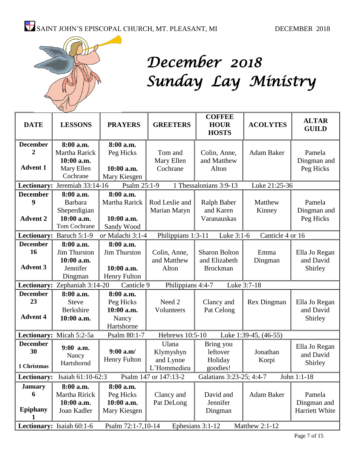

# *December 2018 Sunday Lay Ministry*

| <b>DATE</b>                                                                                          | <b>LESSONS</b>                | <b>PRAYERS</b>      | <b>GREETERS</b>    | <b>COFFEE</b><br><b>HOUR</b><br><b>HOSTS</b> | <b>ACOLYTES</b>       | <b>ALTAR</b><br><b>GUILD</b> |
|------------------------------------------------------------------------------------------------------|-------------------------------|---------------------|--------------------|----------------------------------------------|-----------------------|------------------------------|
| <b>December</b>                                                                                      | 8:00 a.m.                     | 8:00 a.m.           |                    |                                              |                       |                              |
| 2                                                                                                    | Martha Rarick                 | Peg Hicks           | Tom and            | Colin, Anne,                                 | Adam Baker            | Pamela                       |
|                                                                                                      | 10:00 a.m.                    |                     | Mary Ellen         | and Matthew                                  |                       | Dingman and                  |
| <b>Advent 1</b>                                                                                      | Mary Ellen                    | 10:00 a.m.          | Cochrane           | Alton                                        |                       | Peg Hicks                    |
|                                                                                                      | Cochrane                      | Mary Kiesgen        |                    |                                              |                       |                              |
|                                                                                                      | Lectionary: Jeremiah 33:14-16 | Psalm 25:1-9        |                    | 1 Thessalonians 3:9-13                       | Luke 21:25-36         |                              |
| <b>December</b>                                                                                      | 8:00 a.m.                     | 8:00 a.m.           |                    |                                              |                       |                              |
| 9                                                                                                    | <b>Barbara</b>                | Martha Rarick       | Rod Leslie and     | Ralph Baber                                  | Matthew               | Pamela                       |
|                                                                                                      | Sheperdigian                  |                     | Marian Matyn       | and Karen                                    | Kinney                | Dingman and                  |
| <b>Advent 2</b>                                                                                      | 10:00 a.m.                    | 10:00 a.m.          |                    | Varanauskas                                  |                       | Peg Hicks                    |
|                                                                                                      | <b>Tom Cochrane</b>           | Sandy Wood          |                    |                                              |                       |                              |
|                                                                                                      | Lectionary: Baruch 5:1-9      | or Malachi 3:1-4    | Philippians 1:3-11 | Luke 3:1-6                                   | Canticle 4 or 16      |                              |
| <b>December</b>                                                                                      | 8:00 a.m.                     | 8:00 a.m.           |                    |                                              |                       |                              |
| 16                                                                                                   | <b>Jim Thurston</b>           | Jim Thurston        | Colin, Anne,       | <b>Sharon Bolton</b>                         | Emma                  | Ella Jo Regan                |
|                                                                                                      | 10:00 a.m.                    |                     | and Matthew        | and Elizabeth                                | Dingman               | and David                    |
| <b>Advent 3</b>                                                                                      | Jennifer                      | 10:00 a.m.          | Alton              | <b>Brockman</b>                              |                       | Shirley                      |
|                                                                                                      | Dingman                       | Henry Fulton        |                    |                                              |                       |                              |
|                                                                                                      | Lectionary: Zephaniah 3:14-20 | Canticle 9          | Philippians 4:4-7  |                                              | Luke 3:7-18           |                              |
| <b>December</b>                                                                                      | 8:00 a.m.                     | 8:00 a.m.           |                    |                                              |                       |                              |
| 23                                                                                                   | <b>Steve</b>                  | Peg Hicks           | Need 2             | Clancy and                                   | Rex Dingman           | Ella Jo Regan                |
|                                                                                                      | Berkshire                     | 10:00 a.m.          | Volunteers         | Pat Celong                                   |                       | and David                    |
| <b>Advent 4</b>                                                                                      | 10:00 a.m.                    | Nancy               |                    |                                              |                       | Shirley                      |
|                                                                                                      |                               | Hartshorne          |                    |                                              |                       |                              |
|                                                                                                      | Lectionary: Micah 5:2-5a      | Psalm 80:1-7        | Hebrews 10:5-10    |                                              | Luke 1:39-45, (46-55) |                              |
| <b>December</b>                                                                                      | 9:00 a.m.                     |                     | Ulana              | Bring you                                    |                       | Ella Jo Regan                |
| 30                                                                                                   | Nancy                         | $9:00$ a.m/         | Klymyshyn          | leftover                                     | Jonathan              | and David                    |
|                                                                                                      | Hartshornd                    | <b>Henry Fulton</b> | and Lynne          | Holiday                                      | Korpi                 | Shirley                      |
| 1 Christmas                                                                                          |                               |                     | L'Hommedieu        | goodies!                                     |                       |                              |
| Isaiah 61:10-62:3<br>Psalm 147 or 147:13-2<br>Galatians 3:23-25; 4:4-7<br>John 1:1-18<br>Lectionary: |                               |                     |                    |                                              |                       |                              |
| <b>January</b>                                                                                       | 8:00 a.m.                     | 8:00 a.m.           |                    |                                              |                       |                              |
| 6                                                                                                    | Martha Ririck                 | Peg Hicks           | Clancy and         | David and                                    | Adam Baker            | Pamela                       |
|                                                                                                      | 10:00 a.m.                    | 10:00 a.m.          | Pat DeLong         | Jennifer                                     |                       | Dingman and                  |
| <b>Epiphany</b>                                                                                      | Joan Kadler                   | Mary Kiesgen        |                    | Dingman                                      |                       | Harriett White               |
| 1                                                                                                    |                               |                     |                    |                                              |                       |                              |
|                                                                                                      | Lectionary: Isaiah 60:1-6     | Psalm 72:1-7,10-14  |                    | Ephesians 3:1-12                             | Matthew 2:1-12        |                              |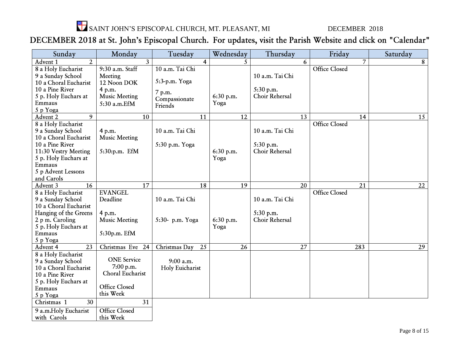

# DECEMBER 2018 at St. John's Episcopal Church. For updates, visit the Parish Website and click on "Calendar"

| Sunday                     | Monday               | Tuesday             | Wednesday | Thursday        | Friday               | Saturday |
|----------------------------|----------------------|---------------------|-----------|-----------------|----------------------|----------|
| $\overline{2}$<br>Advent 1 | 3                    | $\overline{4}$      | 5         | 6               | $\overline{7}$       | 8        |
| 8 a Holy Eucharist         | 9:30 a.m. Staff      | 10 a.m. Tai Chi     |           |                 | Office Closed        |          |
| 9 a Sunday School          | Meeting              |                     |           | 10 a.m. Tai Chi |                      |          |
| 10 a Choral Eucharist      | 12 Noon DOK          | 5:3-p.m. Yoga       |           |                 |                      |          |
| 10 a Pine River            | 4 p.m.               | 7 p.m.              |           | 5:30 p.m.       |                      |          |
| 5 p. Holy Euchars at       | <b>Music Meeting</b> | Compassionate       | 6:30 p.m. | Choir Rehersal  |                      |          |
| Emmaus                     | 5:30 a.m.EfM         | Friends             | Yoga      |                 |                      |          |
| 5 p Yoga                   |                      |                     |           |                 |                      |          |
| $\overline{9}$<br>Advent 2 | 10                   | 11                  | 12        | 13              | 14                   | 15       |
| 8 a Holy Eucharist         |                      |                     |           |                 | <b>Office Closed</b> |          |
| 9 a Sunday School          | 4 p.m.               | 10 a.m. Tai Chi     |           | 10 a.m. Tai Chi |                      |          |
| 10 a Choral Eucharist      | <b>Music Meeting</b> |                     |           |                 |                      |          |
| 10 a Pine River            |                      | 5:30 p.m. Yoga      |           | 5:30 p.m.       |                      |          |
| 11:30 Vestry Meeting       | 5:30:p.m. EfM        |                     | 6:30 p.m. | Choir Rehersal  |                      |          |
| 5 p. Holy Euchars at       |                      |                     | Yoga      |                 |                      |          |
| Emmaus                     |                      |                     |           |                 |                      |          |
| 5 p Advent Lessons         |                      |                     |           |                 |                      |          |
| and Carols                 |                      |                     |           |                 |                      |          |
| Advent 3<br>16             | 17                   | 18                  | 19        | 20              | 21                   | 22       |
| 8 a Holy Eucharist         | <b>EVANGEL</b>       |                     |           |                 | <b>Office Closed</b> |          |
| 9 a Sunday School          | Deadline             | 10 a.m. Tai Chi     |           | 10 a.m. Tai Chi |                      |          |
| 10 a Choral Eucharist      |                      |                     |           |                 |                      |          |
| Hanging of the Greens      | 4 p.m.               |                     |           | 5:30 p.m.       |                      |          |
| 2 p m. Caroling            | <b>Music Meeting</b> | 5:30- p.m. Yoga     | 6:30 p.m. | Choir Rehersal  |                      |          |
| 5 p. Holy Euchars at       |                      |                     | Yoga      |                 |                      |          |
| Emmaus                     | 5:30p.m. EfM         |                     |           |                 |                      |          |
| 5 p Yoga                   |                      |                     |           |                 |                      |          |
| 23<br>Advent 4             | Christmas Eve<br>24  | Christmas Day<br>25 | 26        | 27              | 283                  | 29       |
| 8 a Holy Eucharist         |                      |                     |           |                 |                      |          |
| 9 a Sunday School          | <b>ONE</b> Service   | 9:00 a.m.           |           |                 |                      |          |
| 10 a Choral Eucharist      | 7:00 p.m.            | Holy Euicharist     |           |                 |                      |          |
| 10 a Pine River            | Choral Eucharist     |                     |           |                 |                      |          |
| 5 p. Holy Euchars at       |                      |                     |           |                 |                      |          |
| Emmaus                     | <b>Office Closed</b> |                     |           |                 |                      |          |
| 5 p Yoga                   | this Week            |                     |           |                 |                      |          |
| Christmas 1<br>30          | 31                   |                     |           |                 |                      |          |
| 9 a.m.Holy Eucharist       | <b>Office Closed</b> |                     |           |                 |                      |          |
| with Carols                | this Week            |                     |           |                 |                      |          |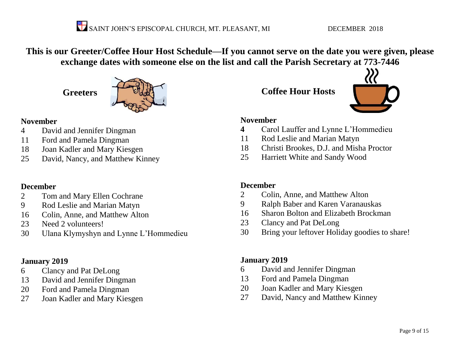**This is our Greeter/Coffee Hour Host Schedule—If you cannot serve on the date you were given, please exchange dates with someone else on the list and call the Parish Secretary at 773-7446**

**Greeters**



#### **November**

- David and Jennifer Dingman
- Ford and Pamela Dingman
- Joan Kadler and Mary Kiesgen
- David, Nancy, and Matthew Kinney

#### **December**

- Tom and Mary Ellen Cochrane
- Rod Leslie and Marian Matyn
- Colin, Anne, and Matthew Alton
- Need 2 volunteers!
- Ulana Klymyshyn and Lynne L'Hommedieu

#### **January 2019**

- Clancy and Pat DeLong
- David and Jennifer Dingman
- Ford and Pamela Dingman
- Joan Kadler and Mary Kiesgen

**Coffee Hour Hosts**



#### **November**

- Carol Lauffer and Lynne L'Hommedieu
- Rod Leslie and Marian Matyn
- Christi Brookes, D.J. and Misha Proctor
- Harriett White and Sandy Wood

#### **December**

- Colin, Anne, and Matthew Alton
- Ralph Baber and Karen Varanauskas
- Sharon Bolton and Elizabeth Brockman
- Clancy and Pat DeLong
- Bring your leftover Holiday goodies to share!

#### **January 2019**

- David and Jennifer Dingman
- Ford and Pamela Dingman
- Joan Kadler and Mary Kiesgen
- David, Nancy and Matthew Kinney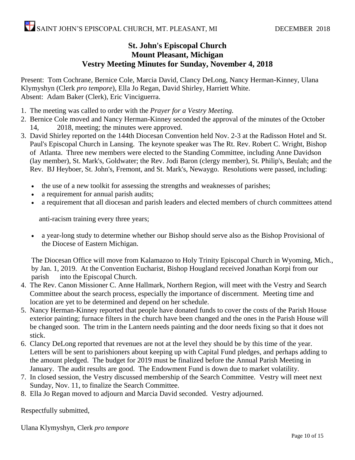#### **St. John's Episcopal Church Mount Pleasant, Michigan Vestry Meeting Minutes for Sunday, November 4, 2018**

Present: Tom Cochrane, Bernice Cole, Marcia David, Clancy DeLong, Nancy Herman-Kinney, Ulana Klymyshyn (Clerk *pro tempore*), Ella Jo Regan, David Shirley, Harriett White. Absent: Adam Baker (Clerk), Eric Vinciguerra.

- 1. The meeting was called to order with the *Prayer for a Vestry Meeting.*
- 2. Bernice Cole moved and Nancy Herman-Kinney seconded the approval of the minutes of the October 14, 2018, meeting; the minutes were approved.
- 3. David Shirley reported on the 144th Diocesan Convention held Nov. 2-3 at the Radisson Hotel and St. Paul's Episcopal Church in Lansing. The keynote speaker was The Rt. Rev. Robert C. Wright, Bishop of Atlanta. Three new members were elected to the Standing Committee, including Anne Davidson (lay member), St. Mark's, Goldwater; the Rev. Jodi Baron (clergy member), St. Philip's, Beulah; and the Rev. BJ Heyboer, St. John's, Fremont, and St. Mark's, Newaygo. Resolutions were passed, including:
	- the use of a new toolkit for assessing the strengths and weaknesses of parishes;
	- a requirement for annual parish audits;
	- a requirement that all diocesan and parish leaders and elected members of church committees attend

anti-racism training every three years;

• a year-long study to determine whether our Bishop should serve also as the Bishop Provisional of the Diocese of Eastern Michigan.

The Diocesan Office will move from Kalamazoo to Holy Trinity Episcopal Church in Wyoming, Mich., by Jan. 1, 2019. At the Convention Eucharist, Bishop Hougland received Jonathan Korpi from our parish into the Episcopal Church.

- 4. The Rev. Canon Missioner C. Anne Hallmark, Northern Region, will meet with the Vestry and Search Committee about the search process, especially the importance of discernment. Meeting time and location are yet to be determined and depend on her schedule.
- 5. Nancy Herman-Kinney reported that people have donated funds to cover the costs of the Parish House exterior painting; furnace filters in the church have been changed and the ones in the Parish House will be changed soon. The trim in the Lantern needs painting and the door needs fixing so that it does not stick.
- 6. Clancy DeLong reported that revenues are not at the level they should be by this time of the year. Letters will be sent to parishioners about keeping up with Capital Fund pledges, and perhaps adding to the amount pledged. The budget for 2019 must be finalized before the Annual Parish Meeting in January. The audit results are good. The Endowment Fund is down due to market volatility.
- 7. In closed session, the Vestry discussed membership of the Search Committee. Vestry will meet next Sunday, Nov. 11, to finalize the Search Committee.
- 8. Ella Jo Regan moved to adjourn and Marcia David seconded. Vestry adjourned.

Respectfully submitted,

Ulana Klymyshyn, Clerk *pro tempore*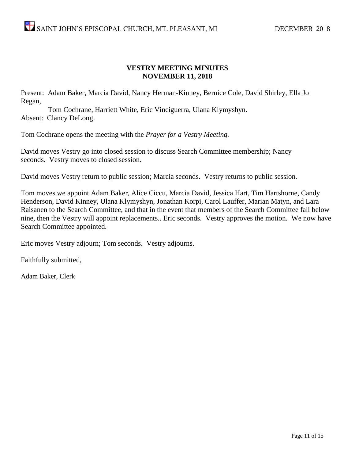#### **VESTRY MEETING MINUTES NOVEMBER 11, 2018**

Present: Adam Baker, Marcia David, Nancy Herman-Kinney, Bernice Cole, David Shirley, Ella Jo Regan,

Tom Cochrane, Harriett White, Eric Vinciguerra, Ulana Klymyshyn. Absent: Clancy DeLong.

Tom Cochrane opens the meeting with the *Prayer for a Vestry Meeting.*

David moves Vestry go into closed session to discuss Search Committee membership; Nancy seconds. Vestry moves to closed session.

David moves Vestry return to public session; Marcia seconds. Vestry returns to public session.

Tom moves we appoint Adam Baker, Alice Ciccu, Marcia David, Jessica Hart, Tim Hartshorne, Candy Henderson, David Kinney, Ulana Klymyshyn, Jonathan Korpi, Carol Lauffer, Marian Matyn, and Lara Raisanen to the Search Committee, and that in the event that members of the Search Committee fall below nine, then the Vestry will appoint replacements.. Eric seconds. Vestry approves the motion. We now have Search Committee appointed.

Eric moves Vestry adjourn; Tom seconds. Vestry adjourns.

Faithfully submitted,

Adam Baker, Clerk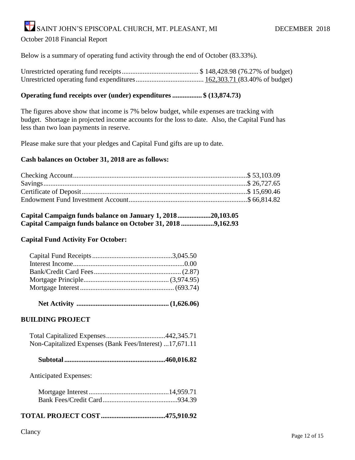October 2018 Financial Report

Below is a summary of operating fund activity through the end of October (83.33%).

Unrestricted operating fund receipts............................................ \$ 148,428.98 (76.27% of budget) Unrestricted operating fund expenditures....................................... 162,303.71 (83.40% of budget)

#### **Operating fund receipts over (under) expenditures................. \$ (13,874.73)**

The figures above show that income is 7% below budget, while expenses are tracking with budget. Shortage in projected income accounts for the loss to date. Also, the Capital Fund has less than two loan payments in reserve.

Please make sure that your pledges and Capital Fund gifts are up to date.

#### **Cash balances on October 31, 2018 are as follows:**

| Capital Campaign funds balance on January 1, 201820,103.05  |  |
|-------------------------------------------------------------|--|
| Capital Campaign funds balance on October 31, 2018 9,162.93 |  |

#### **Capital Fund Activity For October:**

 **Net Activity ..................................................... (1,626.06)**

#### **BUILDING PROJECT**

| Non-Capitalized Expenses (Bank Fees/Interest) 17,671.11 |  |
|---------------------------------------------------------|--|

 **Subtotal..........................................................460,016.82**

Anticipated Expenses:

#### **TOTAL PROJECT COST.....................................475,910.92**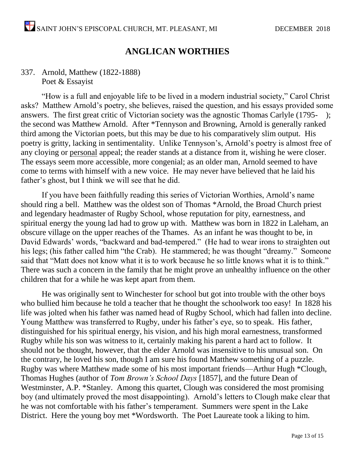#### **ANGLICAN WORTHIES**

#### 337. Arnold, Matthew (1822-1888) Poet & Essayist

"How is a full and enjoyable life to be lived in a modern industrial society," Carol Christ asks? Matthew Arnold's poetry, she believes, raised the question, and his essays provided some answers. The first great critic of Victorian society was the agnostic Thomas Carlyle (1795- ); the second was Matthew Arnold. After \*Tennyson and Browning, Arnold is generally ranked third among the Victorian poets, but this may be due to his comparatively slim output. His poetry is gritty, lacking in sentimentality. Unlike Tennyson's, Arnold's poetry is almost free of any cloying or personal appeal; the reader stands at a distance from it, wishing he were closer. The essays seem more accessible, more congenial; as an older man, Arnold seemed to have come to terms with himself with a new voice. He may never have believed that he laid his father's ghost, but I think we will see that he did.

If you have been faithfully reading this series of Victorian Worthies, Arnold's name should ring a bell. Matthew was the oldest son of Thomas \*Arnold, the Broad Church priest and legendary headmaster of Rugby School, whose reputation for pity, earnestness, and spiritual energy the young lad had to grow up with. Matthew was born in 1822 in Laleham, an obscure village on the upper reaches of the Thames. As an infant he was thought to be, in David Edwards' words, "backward and bad-tempered." (He had to wear irons to straighten out his legs; (his father called him "the Crab). He stammered; he was thought "dreamy." Someone said that "Matt does not know what it is to work because he so little knows what it is to think." There was such a concern in the family that he might prove an unhealthy influence on the other children that for a while he was kept apart from them.

He was originally sent to Winchester for school but got into trouble with the other boys who bullied him because he told a teacher that he thought the schoolwork too easy! In 1828 his life was jolted when his father was named head of Rugby School, which had fallen into decline. Young Matthew was transferred to Rugby, under his father's eye, so to speak. His father, distinguished for his spiritual energy, his vision, and his high moral earnestness, transformed Rugby while his son was witness to it, certainly making his parent a hard act to follow. It should not be thought, however, that the elder Arnold was insensitive to his unusual son. On the contrary, he loved his son, though I am sure his found Matthew something of a puzzle. Rugby was where Matthew made some of his most important friends—Arthur Hugh \*Clough, Thomas Hughes (author of *Tom Brown's School Days* [1857], and the future Dean of Westminster, A.P. \*Stanley. Among this quartet, Clough was considered the most promising boy (and ultimately proved the most disappointing). Arnold's letters to Clough make clear that he was not comfortable with his father's temperament. Summers were spent in the Lake District. Here the young boy met \*Wordsworth. The Poet Laureate took a liking to him.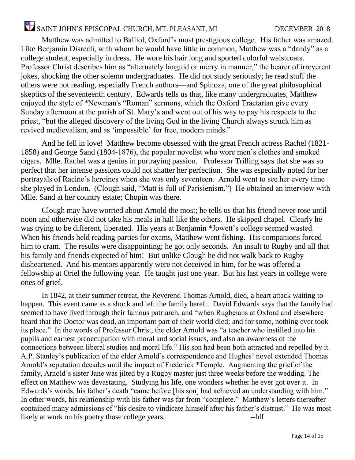Matthew was admitted to Balliol, Oxford's most prestigious college. His father was amazed. Like Benjamin Disreali, with whom he would have little in common, Matthew was a "dandy" as a college student, especially in dress. He wore his hair long and sported colorful waistcoats. Professor Christ describes him as "alternately languid or merry in manner," the bearer of irreverent jokes, shocking the other solemn undergraduates. He did not study seriously; he read stuff the others were not reading, especially French authors—and Spinoza, one of the great philosophical skeptics of the seventeenth century. Edwards tells us that, like many undergraduates, Matthew enjoyed the style of \*Newman's "Roman" sermons, which the Oxford Tractarian give every Sunday afternoon at the parish of St. Mary's and went out of his way to pay his respects to the priest, "but the alleged discovery of the living God in the living Church always struck him as revived medievalism, and as 'impossible' for free, modern minds."

And he fell in love! Matthew become obsessed with the great French actress Rachel (1821- 1858) and George Sand (1804-1876), the popular novelist who wore men's clothes and smoked cigars. Mlle. Rachel was a genius in portraying passion. Professor Trilling says that she was so perfect that her intense passions could not shatter her perfection. She was especially noted for her portrayals of Racine's heroines when she was only seventeen. Arnold went to see her every time she played in London. (Clough said, "Matt is full of Parisienism.") He obtained an interview with Mlle. Sand at her country estate; Chopin was there.

Clough may have worried about Arnold the most; he tells us that his friend never rose until noon and otherwise did not take his meals in hall like the others. He skipped chapel. Clearly he was trying to be different, liberated. His years at Benjamin \*Jowett's college seemed wasted. When his friends held reading parties for exams, Matthew went fishing. His companions forced him to cram. The results were disappointing; he got only seconds. An insult to Rugby and all that his family and friends expected of him! But unlike Clough he did not walk back to Rugby disheartened. And his mentors apparently were not deceived in him, for he was offered a fellowship at Oriel the following year. He taught just one year. But his last years in college were ones of grief.

In 1842, at their summer retreat, the Reverend Thomas Arnold, died, a heart attack waiting to happen. This event came as a shock and left the family bereft. David Edwards says that the family had seemed to have lived through their famous patriarch, and "when Rugbeians at Oxford and elsewhere heard that the Doctor was dead, an important part of their world died; and for some, nothing ever took its place." In the words of Professor Christ, the elder Arnold was "a teacher who instilled into his pupils and earnest preoccupation with moral and social issues, and also an awareness of the connections between liberal studies and moral life." His son had been both attracted and repelled by it. A.P. Stanley's publication of the elder Arnold's correspondence and Hughes' novel extended Thomas Arnold's reputation decades until the impact of Frederick \*Temple. Augmenting the grief of the family, Arnold's sister Jane was jilted by a Rugby master just three weeks before the wedding. The effect on Matthew was devastating. Studying his life, one wonders whether he ever got over it. In Edwards's words, his father's death "came before [his son] had achieved an understanding with him." In other words, his relationship with his father was far from "complete." Matthew's letters thereafter contained many admissions of "his desire to vindicate himself after his father's distrust." He was most likely at work on his poetry those college years. --hlf